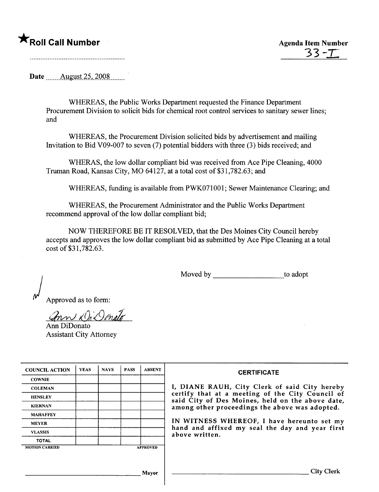## **\***<br>Roll Call Number Agenda Item Number

Date .\_\_.\_\_\_\_Allgll~t\_~S\_,.2.0.0.S\_\_\_\_\_\_ .

WHEREAS, the Public Works Department requested the Finance Department Procurement Division to solicit bids for chemical root control services to sanitary sewer lines; and

WHEREAS, the Procurement Division solicited bids by advertisement and mailing Invitation to Bid V09-007 to seven (7) potential bidders with three (3) bids received; and

WHERAS, the low dollar compliant bid was received from Ace Pipe Cleaning, 4000 Truman Road, Kansas City, MO 64127, at a total cost of \$31,782.63; and

WHEREAS, funding is available from PWK071001; Sewer Maintenance Clearing; and

WHEREAS, the Procurement Administrator and the Public Works Department recommend approval of the low dollar compliant bid;

NOW THEREFORE BE IT RESOLVED, that the Des Moines City Council hereby accepts and approves the low dollar compliant bid as submitted by Ace Pipe Cleaning at a total cost of \$31,782.63.

Moved by to adopt

) Approved as to form:

 $x$  On  $x$  I and  $\int$ 

Ann DiDonato Assistant City Attorney

| <b>COUNCIL ACTION</b> | <b>YEAS</b> | <b>NAYS</b> | <b>PASS</b> | <b>ABSENT</b>   | <b>CERTIFICATE</b>                                                                                   |
|-----------------------|-------------|-------------|-------------|-----------------|------------------------------------------------------------------------------------------------------|
| <b>COWNIE</b>         |             |             |             |                 |                                                                                                      |
| <b>COLEMAN</b>        |             |             |             |                 | I, DIANE RAUH, City Clerk of said City hereby                                                        |
| <b>HENSLEY</b>        |             |             |             |                 | certify that at a meeting of the City Council of<br>said City of Des Moines, held on the above date, |
| <b>KIERNAN</b>        |             |             |             |                 | among other proceedings the above was adopted.                                                       |
| <b>MAHAFFEY</b>       |             |             |             |                 |                                                                                                      |
| <b>MEYER</b>          |             |             |             |                 | IN WITNESS WHEREOF, I have hereunto set my                                                           |
| <b>VLASSIS</b>        |             |             |             |                 | hand and affixed my seal the day and year first<br>above written.                                    |
| <b>TOTAL</b>          |             |             |             |                 |                                                                                                      |
| <b>MOTION CARRIED</b> |             |             |             | <b>APPROVED</b> |                                                                                                      |
|                       |             |             |             |                 |                                                                                                      |
|                       |             |             |             |                 |                                                                                                      |
|                       |             |             |             | Mavor           | <b>City Clerk</b>                                                                                    |